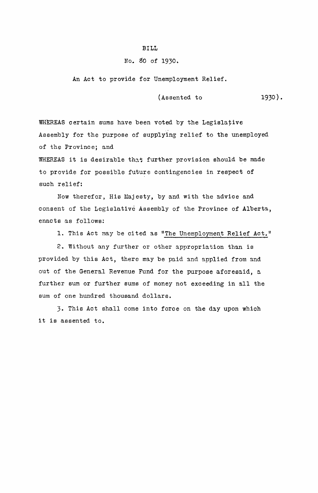## BILL

## No. 50 of 1930.

An Act to provide for Unemployment Relief.

 $(Assended to 1930)$ .

WHEREAS certain sums have been voted by the Legislative Assembly for the purpose of supplying relief to the unemployed of the Provincej and

WHEREAS it is desirable that further provision should be made to provide for possible future contingencies in respect of such relief:

Now therefor, His Majesty, by and with the advice and consent of the Legislative Assembly of the Province of Alberta, enacts as follows:

1. This Act may be cited as "The Unemployment Relief Act."

2. Without any further or other appropriation than is provided by this Act, there may be paid and applied from and out of the General Revenue Fund for the purpose aforesaid, a further sum or further sums of money not exceeding in all the sum of one hundred thousand dollars.

3. This Act shall come into force on the day upon which it is assented to.